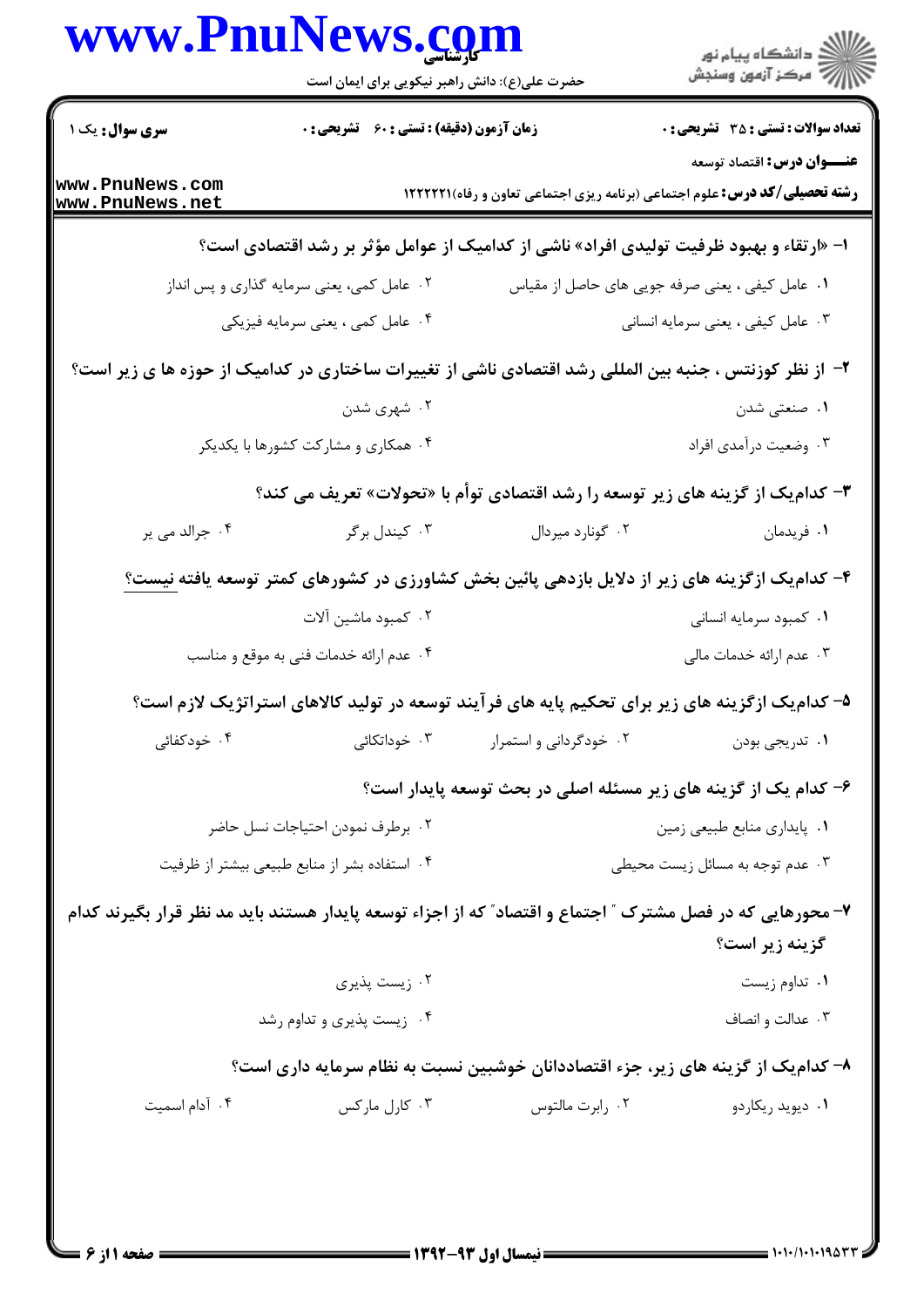|                                    |                                                                                                            | حضرت علی(ع): دانش راهبر نیکویی برای ایمان است | ر دانشگاه پيام نور<br>دانشگاه پيام نور (                                                                                        |
|------------------------------------|------------------------------------------------------------------------------------------------------------|-----------------------------------------------|---------------------------------------------------------------------------------------------------------------------------------|
| <b>سری سوال :</b> یک ۱             | <b>زمان آزمون (دقیقه) : تستی : 60 ٪ تشریحی : 0</b>                                                         |                                               | <b>تعداد سوالات : تستی : 35 - تشریحی : 0</b>                                                                                    |
| www.PnuNews.com<br>www.PnuNews.net |                                                                                                            |                                               | <b>عنـــوان درس:</b> اقتصاد توسعه<br><b>رشته تحصیلی/کد درس:</b> علوم اجتماعی (برنامه ریزی اجتماعی تعاون و رفاه) <b>۱۲۲۲۲۱</b> ۱ |
|                                    | ا- «ارتقاء و بهبود ظرفیت تولیدی افراد» ناشی از کدامیک از عوامل مؤثر بر رشد اقتصادی است؟                    |                                               |                                                                                                                                 |
|                                    | ۰۲ عامل کمی، یعنی سرمایه گذاری و پس انداز                                                                  |                                               | ۰۱ عامل کیفی ، یعنی صرفه جویی های حاصل از مقیاس                                                                                 |
|                                    | ۰۴ عامل کمی ، یعنی سرمایه فیزیکی                                                                           |                                               | ۰۳ عامل کیفی ، یعنی سرمایه انسانی                                                                                               |
|                                    | ۲– از نظر کوزنتس ، جنبه بین المللی رشد اقتصادی ناشی از تغییرات ساختاری در کدامیک از حوزه ها ی زیر است؟     |                                               |                                                                                                                                 |
|                                    | ۰۲ شهري شدن                                                                                                |                                               | ۰۱ صنعتی شدن                                                                                                                    |
|                                    | ۰۴ همکاری و مشارکت کشورها با یکدیکر                                                                        |                                               | ۰۳ وضعیت درآمدی افراد                                                                                                           |
|                                    | ۳- کدام یک از گزینه های زیر توسعه را رشد اقتصادی توأم با «تحولات» تعریف می کند؟                            |                                               |                                                                                                                                 |
| ۰۴ جرالد می پر                     | ۰۳ کیندل برگر                                                                                              | ۰۲ گونارد میردال                              | ۰۱ فریدمان                                                                                                                      |
|                                    | ۴- کدام یک ازگزینه های زیر از دلایل بازدهی پائین بخش کشاورزی در کشورهای کمتر توسعه یافته <u>نیست؟</u>      |                                               |                                                                                                                                 |
|                                    | ۰۲ کمبود ماشین آلات                                                                                        |                                               | ۰۱ کمبود سرمایه انسانی                                                                                                          |
|                                    | ۰۴ عدم ارائه خدمات فنی به موقع و مناسب                                                                     |                                               | ۰۳ عدم ارائه خدمات مالی                                                                                                         |
|                                    | ۵– کدامیک ازگزینه های زیر برای تحکیم پایه های فرآیند توسعه در تولید کالاهای استراتژیک لازم است؟            |                                               |                                                                                                                                 |
| ۰۴ خودکفائی                        | ۰۳ خوداتکائی                                                                                               | ۰۲ خودگردانی و استمرار                        | ۰۱ تدریجی بودن                                                                                                                  |
|                                    |                                                                                                            |                                               | ۶– کدام یک از گزینه های زیر مسئله اصلی در بحث توسعه پایدار است؟                                                                 |
|                                    | ۰۲ برطرف نمودن احتياجات نسل حاضر                                                                           |                                               | ۰۱ پایداری منابع طبیعی زمین                                                                                                     |
|                                    | ۰۴ استفاده بشر از منابع طبیعی بیشتر از ظرفیت                                                               |                                               | ۰۳ عدم توجه به مسائل زیست محیطی                                                                                                 |
|                                    | ۷- محورهایی که در فصل مشترک ″ اجتماع و اقتصاد″ که از اجزاء توسعه پایدار هستند باید مد نظر قرار بگیرند کدام |                                               | گزینه زیر است؟                                                                                                                  |
|                                    | ۰۲ زیست پذیری                                                                                              |                                               | ۰۱ تداوم زیست                                                                                                                   |
|                                    | ۰۴ زیست پذیری و تداوم رشد                                                                                  |                                               | ۰۳ عدالت و انصاف                                                                                                                |
|                                    | ۸– کدام یک از گزینه های زیر، جزء اقتصاددانان خوشبین نسبت به نظام سرمایه داری است؟                          |                                               |                                                                                                                                 |
| ۰۴ آدام اسمیت                      | ۰۳ کارل مارکس                                                                                              | ۰۲ رابرت مالتوس                               | ۰۱ دیوید ریکاردو                                                                                                                |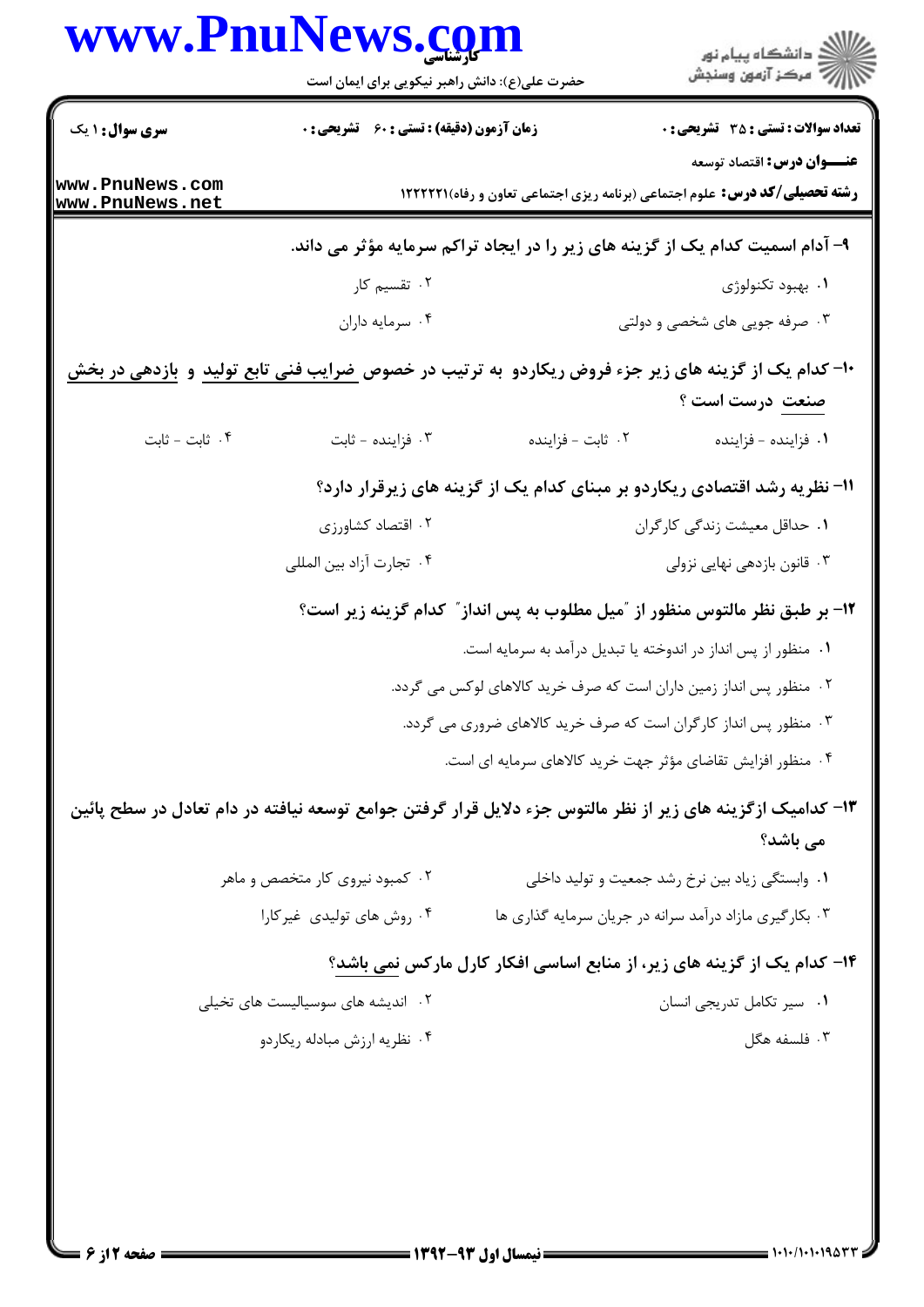| سری سوال: ۱ یک<br><b>زمان آزمون (دقیقه) : تستی : 60 ٪ تشریحی : 0</b><br><b>رشته تحصیلی/کد درس:</b> علوم اجتماعی (برنامه ریزی اجتماعی تعاون و رفاه) ۱۲۲۲۲۲۱<br>۹- آدام اسمیت کدام یک از گزینه های زیر را در ایجاد تراکم سرمایه مؤثر می داند.<br>۰۲ تقسیم کار<br>۰۱ بهبود تکنولوژی<br>۰۴ سرمايه داران<br>۰۳ صرفه جویی های شخصی و دولتی<br>۱۰- کدام یک از گزینه های زیر جزء فروض ریکاردو به ترتیب در خصوص <u>ضرایب فنی تابع تولید</u> و <u>بازدهی در بخش</u><br>صنعت درست است ؟<br>۰۴ ثابت - ثابت<br>۰۳ فزاينده - ثابت<br>٠٢ ثابت - فزاينده<br>۰۱ فزاینده - فزاینده<br>11- نظریه رشد اقتصادی ریکاردو بر مبنای کدام یک از گزینه های زیرقرار دارد؟<br>۰۲ اقتصاد کشاورزی<br>۰۱ حداقل معیشت زندگی کارگران<br>۰۴ تجارت آزاد بين المللي<br>۰۳ قانون بازدهی نهایی نزولی<br>۱۲- بر طبق نظر مالتوس منظور از ″میل مطلوب به پس انداز″ کدام گزینه زیر است؟<br>۰۱ منظور از پس انداز در اندوخته یا تبدیل درآمد به سرمایه است.<br>۰۲ منظور پس انداز زمین داران است که صرف خرید کالاهای لوکس می گردد.<br>۰۳ منظور پس انداز کارگران است که صرف خرید کالاهای ضروری می گردد.<br>۰۴ منظور افزایش تقاضای مؤثر جهت خرید کالاهای سرمایه ای است.<br>۱۳– کدامیک ازگزینه های زیر از نظر مالتوس جزء دلایل قرار گرفتن جوامع توسعه نیافته در دام تعادل در سطح پائین<br>می باشد؟<br>۰۲ کمبود نیروی کار متخصص و ماهر<br>۰۱ وابستگی زیاد بین نرخ رشد جمعیت و تولید داخلی<br>۰۳ بکار گیری مازاد درآمد سرانه در جریان سرمایه گذاری ها<br>۰۴ روش های تولیدی غیرکارا<br>۱۴- کدام یک از گزینه های زیر، از منابع اساسی افکار کارل مارکس نمی باشد؟<br>۰۲ اندیشه های سوسیالیست های تخیلی<br>۰۱ سیر تکامل تدریجی انسان<br>۰۳ فلسفه هگل<br>۰۴ نظریه ارزش مبادله ریکاردو |                                    | www.PnuNews.com<br>حضرت علی(ع): دانش راهبر نیکویی برای ایمان است | ڪ دانشڪاه پيا <sub>م</sub> نور<br>ر <i>7</i> مرڪز آزمون وسنڊش |
|----------------------------------------------------------------------------------------------------------------------------------------------------------------------------------------------------------------------------------------------------------------------------------------------------------------------------------------------------------------------------------------------------------------------------------------------------------------------------------------------------------------------------------------------------------------------------------------------------------------------------------------------------------------------------------------------------------------------------------------------------------------------------------------------------------------------------------------------------------------------------------------------------------------------------------------------------------------------------------------------------------------------------------------------------------------------------------------------------------------------------------------------------------------------------------------------------------------------------------------------------------------------------------------------------------------------------------------------------------------------------------------------------------------------------------------------------------------------------------------------------------------------------------------------------------------------------------------------------------------------------|------------------------------------|------------------------------------------------------------------|---------------------------------------------------------------|
|                                                                                                                                                                                                                                                                                                                                                                                                                                                                                                                                                                                                                                                                                                                                                                                                                                                                                                                                                                                                                                                                                                                                                                                                                                                                                                                                                                                                                                                                                                                                                                                                                            |                                    |                                                                  | <b>تعداد سوالات : تستی : 35 ٪ تشریحی : 0</b>                  |
|                                                                                                                                                                                                                                                                                                                                                                                                                                                                                                                                                                                                                                                                                                                                                                                                                                                                                                                                                                                                                                                                                                                                                                                                                                                                                                                                                                                                                                                                                                                                                                                                                            | www.PnuNews.com<br>www.PnuNews.net |                                                                  | <b>عنـــوان درس:</b> اقتصاد توسعه                             |
|                                                                                                                                                                                                                                                                                                                                                                                                                                                                                                                                                                                                                                                                                                                                                                                                                                                                                                                                                                                                                                                                                                                                                                                                                                                                                                                                                                                                                                                                                                                                                                                                                            |                                    |                                                                  |                                                               |
|                                                                                                                                                                                                                                                                                                                                                                                                                                                                                                                                                                                                                                                                                                                                                                                                                                                                                                                                                                                                                                                                                                                                                                                                                                                                                                                                                                                                                                                                                                                                                                                                                            |                                    |                                                                  |                                                               |
|                                                                                                                                                                                                                                                                                                                                                                                                                                                                                                                                                                                                                                                                                                                                                                                                                                                                                                                                                                                                                                                                                                                                                                                                                                                                                                                                                                                                                                                                                                                                                                                                                            |                                    |                                                                  |                                                               |
|                                                                                                                                                                                                                                                                                                                                                                                                                                                                                                                                                                                                                                                                                                                                                                                                                                                                                                                                                                                                                                                                                                                                                                                                                                                                                                                                                                                                                                                                                                                                                                                                                            |                                    |                                                                  |                                                               |
|                                                                                                                                                                                                                                                                                                                                                                                                                                                                                                                                                                                                                                                                                                                                                                                                                                                                                                                                                                                                                                                                                                                                                                                                                                                                                                                                                                                                                                                                                                                                                                                                                            |                                    |                                                                  |                                                               |
|                                                                                                                                                                                                                                                                                                                                                                                                                                                                                                                                                                                                                                                                                                                                                                                                                                                                                                                                                                                                                                                                                                                                                                                                                                                                                                                                                                                                                                                                                                                                                                                                                            |                                    |                                                                  |                                                               |
|                                                                                                                                                                                                                                                                                                                                                                                                                                                                                                                                                                                                                                                                                                                                                                                                                                                                                                                                                                                                                                                                                                                                                                                                                                                                                                                                                                                                                                                                                                                                                                                                                            |                                    |                                                                  |                                                               |
|                                                                                                                                                                                                                                                                                                                                                                                                                                                                                                                                                                                                                                                                                                                                                                                                                                                                                                                                                                                                                                                                                                                                                                                                                                                                                                                                                                                                                                                                                                                                                                                                                            |                                    |                                                                  |                                                               |
|                                                                                                                                                                                                                                                                                                                                                                                                                                                                                                                                                                                                                                                                                                                                                                                                                                                                                                                                                                                                                                                                                                                                                                                                                                                                                                                                                                                                                                                                                                                                                                                                                            |                                    |                                                                  |                                                               |
|                                                                                                                                                                                                                                                                                                                                                                                                                                                                                                                                                                                                                                                                                                                                                                                                                                                                                                                                                                                                                                                                                                                                                                                                                                                                                                                                                                                                                                                                                                                                                                                                                            |                                    |                                                                  |                                                               |
|                                                                                                                                                                                                                                                                                                                                                                                                                                                                                                                                                                                                                                                                                                                                                                                                                                                                                                                                                                                                                                                                                                                                                                                                                                                                                                                                                                                                                                                                                                                                                                                                                            |                                    |                                                                  |                                                               |
|                                                                                                                                                                                                                                                                                                                                                                                                                                                                                                                                                                                                                                                                                                                                                                                                                                                                                                                                                                                                                                                                                                                                                                                                                                                                                                                                                                                                                                                                                                                                                                                                                            |                                    |                                                                  |                                                               |
|                                                                                                                                                                                                                                                                                                                                                                                                                                                                                                                                                                                                                                                                                                                                                                                                                                                                                                                                                                                                                                                                                                                                                                                                                                                                                                                                                                                                                                                                                                                                                                                                                            |                                    |                                                                  |                                                               |
|                                                                                                                                                                                                                                                                                                                                                                                                                                                                                                                                                                                                                                                                                                                                                                                                                                                                                                                                                                                                                                                                                                                                                                                                                                                                                                                                                                                                                                                                                                                                                                                                                            |                                    |                                                                  |                                                               |
|                                                                                                                                                                                                                                                                                                                                                                                                                                                                                                                                                                                                                                                                                                                                                                                                                                                                                                                                                                                                                                                                                                                                                                                                                                                                                                                                                                                                                                                                                                                                                                                                                            |                                    |                                                                  |                                                               |
|                                                                                                                                                                                                                                                                                                                                                                                                                                                                                                                                                                                                                                                                                                                                                                                                                                                                                                                                                                                                                                                                                                                                                                                                                                                                                                                                                                                                                                                                                                                                                                                                                            |                                    |                                                                  |                                                               |
|                                                                                                                                                                                                                                                                                                                                                                                                                                                                                                                                                                                                                                                                                                                                                                                                                                                                                                                                                                                                                                                                                                                                                                                                                                                                                                                                                                                                                                                                                                                                                                                                                            |                                    |                                                                  |                                                               |
|                                                                                                                                                                                                                                                                                                                                                                                                                                                                                                                                                                                                                                                                                                                                                                                                                                                                                                                                                                                                                                                                                                                                                                                                                                                                                                                                                                                                                                                                                                                                                                                                                            |                                    |                                                                  |                                                               |
|                                                                                                                                                                                                                                                                                                                                                                                                                                                                                                                                                                                                                                                                                                                                                                                                                                                                                                                                                                                                                                                                                                                                                                                                                                                                                                                                                                                                                                                                                                                                                                                                                            |                                    |                                                                  |                                                               |
|                                                                                                                                                                                                                                                                                                                                                                                                                                                                                                                                                                                                                                                                                                                                                                                                                                                                                                                                                                                                                                                                                                                                                                                                                                                                                                                                                                                                                                                                                                                                                                                                                            |                                    |                                                                  |                                                               |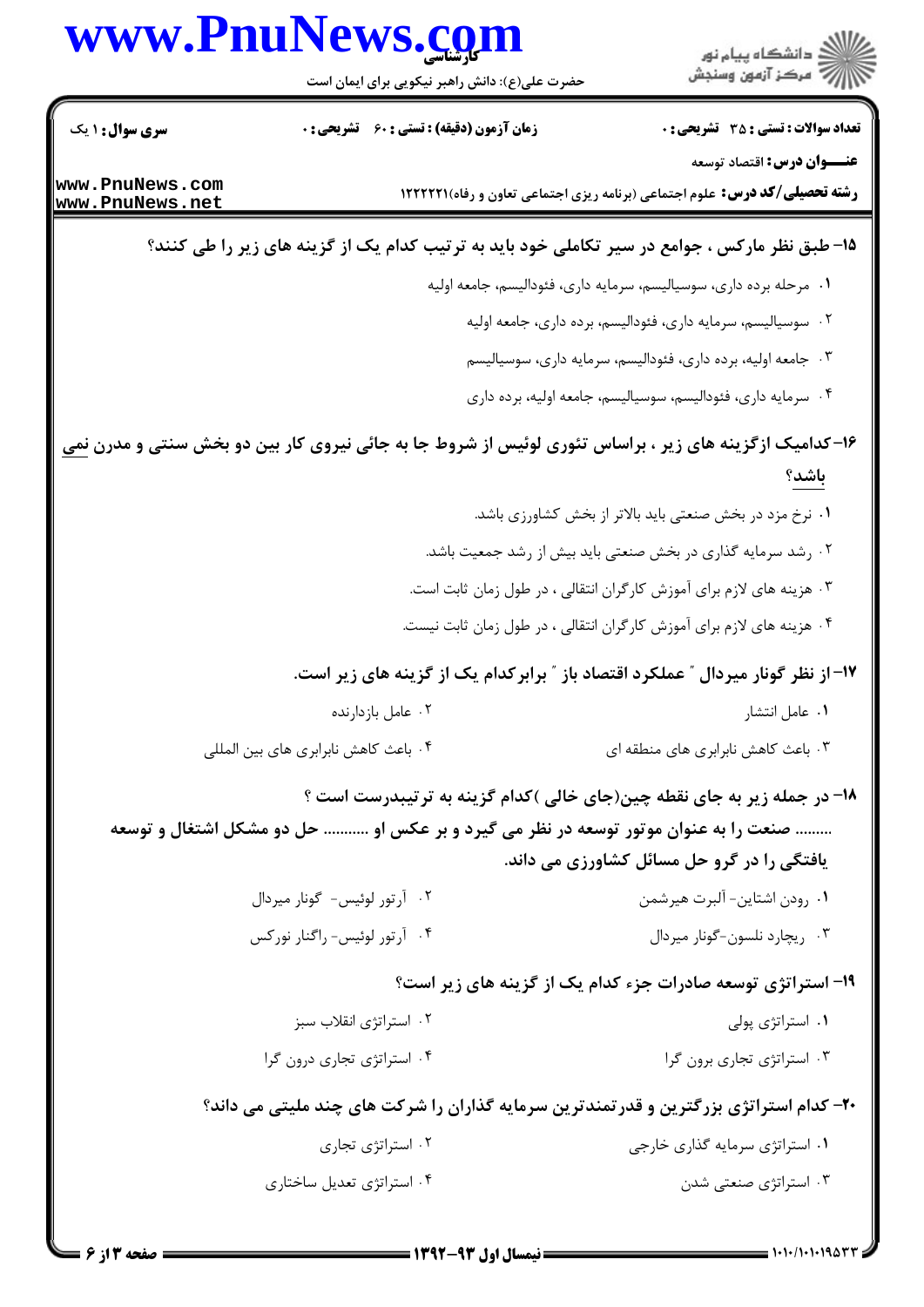|                        | www.PnuNews.com                                                                    |                                                                                                               |
|------------------------|------------------------------------------------------------------------------------|---------------------------------------------------------------------------------------------------------------|
|                        | حضرت علی(ع): دانش راهبر نیکویی برای ایمان است                                      | ر<br>دانشڪاه پيام نور)<br>اڳ مرڪز آزمون وسنڊش                                                                 |
| <b>سری سوال : ۱ یک</b> | <b>زمان آزمون (دقیقه) : تستی : 60 تشریحی : 0</b>                                   | <b>تعداد سوالات : تستی : 35 - تشریحی : 0</b>                                                                  |
| www.PnuNews.com        |                                                                                    | <b>عنـــوان درس:</b> اقتصاد توسعه                                                                             |
| www.PnuNews.net        |                                                                                    | <b>رشته تحصیلی/کد درس:</b> علوم اجتماعی (برنامه ریزی اجتماعی تعاون و رفاه)1۲۲۲۲۱ ا                            |
|                        |                                                                                    | ۱۵- طبق نظر مارکس ، جوامع در سیر تکاملی خود باید به ترتیب کدام یک از گزینه های زیر را طی کنند؟                |
|                        |                                                                                    | ۰۱ مرحله برده داری، سوسیالیسم، سرمایه داری، فئودالیسم، جامعه اولیه                                            |
|                        |                                                                                    | ۰۲ سوسیالیسم، سرمایه داری، فئودالیسم، برده داری، جامعه اولیه                                                  |
|                        |                                                                                    | ۰۳ جامعه اولیه، برده داری، فئودالیسم، سرمایه داری، سوسیالیسم                                                  |
|                        |                                                                                    | ۰۴ سرمایه داری، فئودالیسم، سوسیالیسم، جامعه اولیه، برده داری                                                  |
|                        |                                                                                    | ۱۶–کدامیک ازگزینه های زیر ، براساس تئوری لوئیس از شروط جا به جائی نیروی کار بین دو بخش سنتی و مدرن <u>نمی</u> |
|                        |                                                                                    | باشد؟                                                                                                         |
|                        |                                                                                    | ۰۱ نرخ مزد در بخش صنعتی باید بالاتر از بخش کشاورزی باشد.                                                      |
|                        |                                                                                    | ۰۲ رشد سرمایه گذاری در بخش صنعتی باید بیش از رشد جمعیت باشد.                                                  |
|                        |                                                                                    | ۰۳ هزینه های لازم برای آموزش کارگران انتقالی ، در طول زمان ثابت است.                                          |
|                        |                                                                                    | ۰۴ هزینه های لازم برای آموزش کارگران انتقالی ، در طول زمان ثابت نیست.                                         |
|                        |                                                                                    | ۱۷– از نظر گونار میردال ″ عملکرد اقتصاد باز ″ برابرکدام یک از گزینه های زیر است.                              |
|                        | ٠٢ عامل بازدارنده                                                                  | ٠١ عامل انتشار                                                                                                |
|                        | ۰۴ باعث كاهش نابرابري هاي بين المللي                                               | ۰۳ باعث کاهش نابرابری های منطقه ای                                                                            |
|                        |                                                                                    | ۱۸- در جمله زیر به جای نقطه چین(جای خالی )کدام گزینه به ترتیبدرست است ؟                                       |
|                        | صنعت را به عنوان موتور توسعه در نظر می گیرد و بر عکس او  حل دو مشکل اشتغال و توسعه |                                                                                                               |
|                        |                                                                                    | یافتگی را در گرو حل مسائل کشاورزی می داند.                                                                    |
|                        | ۰۲ آرتور لوئیس- گونار میردال                                                       | ٠١. رودن اشتاين- آلبرت هيرشمن                                                                                 |
|                        | ۰۴ آرتور لوئیس- راگنار نورکس                                                       | ۰۳ ریچارد نلسون-گونار میردال                                                                                  |
|                        |                                                                                    | ۱۹- استراتژی توسعه صادرات جزء کدام یک از گزینه های زیر است؟                                                   |
|                        | ۰۲ استراتژی انقلاب سبز                                                             | ۰۱ استراتژی پولی                                                                                              |
|                        | ۰۴ استراتژی تجاری درون گرا                                                         | ۰۳ استراتژی تجاری برون گرا                                                                                    |
|                        |                                                                                    | <b>۲۰</b> - کدام استراتژی بزرگترین و قدرتمندترین سرمایه گذاران را شرکت های چند ملیتی می داند؟                 |
|                        | ۰۲ استراتژی تجاری                                                                  | ۰۱ استراتژی سرمایه گذاری خارجی                                                                                |
|                        | ۰۴ استراتژی تعدیل ساختاری                                                          | ۰۳ استراتژی صنعتی شدن                                                                                         |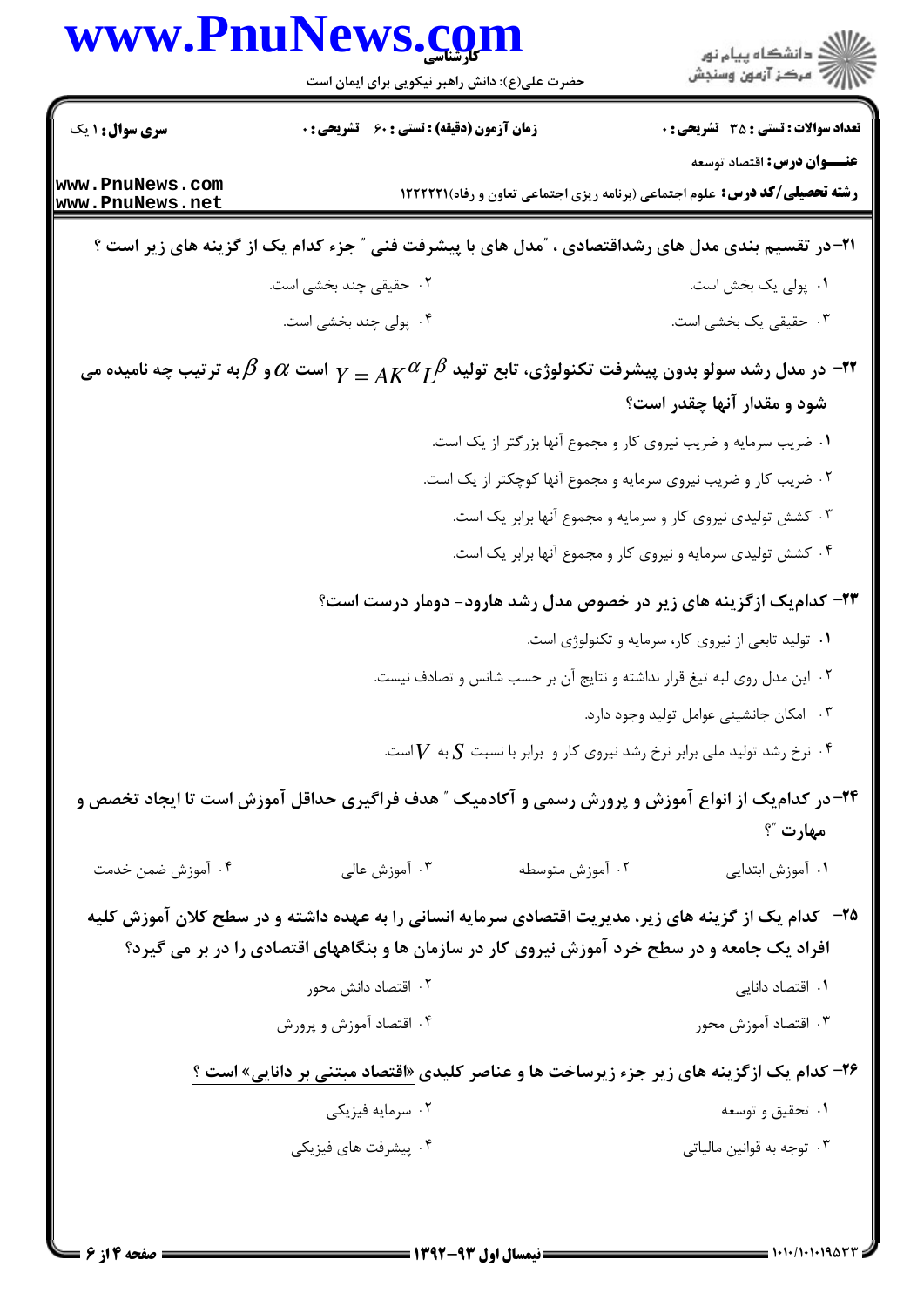|                                    | www.PnuNews.com                                                                                                                       |                                                                                     | ڪ دانشڪاه پيا <sub>م</sub> نور<br>∕ مرڪز آزمون وسنڊش                                                                            |
|------------------------------------|---------------------------------------------------------------------------------------------------------------------------------------|-------------------------------------------------------------------------------------|---------------------------------------------------------------------------------------------------------------------------------|
|                                    | حضرت علی(ع): دانش راهبر نیکویی برای ایمان است                                                                                         |                                                                                     |                                                                                                                                 |
| <b>سری سوال : ۱ یک</b>             | <b>زمان آزمون (دقیقه) : تستی : 60 ٪ تشریحی : 0</b>                                                                                    |                                                                                     | <b>تعداد سوالات : تستي : 35 ٪ تشريحي : 0</b>                                                                                    |
| www.PnuNews.com<br>www.PnuNews.net |                                                                                                                                       |                                                                                     | <b>عنـــوان درس:</b> اقتصاد توسعه<br><b>رشته تحصیلی/کد درس:</b> علوم اجتماعی (برنامه ریزی اجتماعی تعاون و رفاه) <b>۱۲۲۲۲۱</b> ۱ |
|                                    | <b>۲۱</b> - در تقسیم بندی مدل های رشداقتصادی ، آمدل های با پیشرفت فنی آ جزء کدام یک از گزینه های زیر است ؟                            |                                                                                     |                                                                                                                                 |
|                                    | ۲.  حقیقی چند بخشی است.                                                                                                               |                                                                                     | ٠١. پولی یک بخش است.                                                                                                            |
|                                    | ۰۴ پولی چند بخشی است.                                                                                                                 |                                                                                     | ۰۳ حقیقی یک بخشی است.                                                                                                           |
|                                    | در مدل رشد سولو بدون پیشرفت تکنولوژی، تابع تولید $A K^\alpha L^\beta$ است $\alpha$ و $\beta$ به ترتیب چه نامیده می $\cdot$ ۲۲ $\cdot$ |                                                                                     |                                                                                                                                 |
|                                    |                                                                                                                                       |                                                                                     | شود و مقدار آنها چقدر است؟                                                                                                      |
|                                    |                                                                                                                                       | ۰۱ ضریب سرمایه و ضریب نیروی کار و مجموع آنها بزرگتر از یک است.                      |                                                                                                                                 |
|                                    |                                                                                                                                       | ۰۲ ضریب کار و ضریب نیروی سرمایه و مجموع آنها کوچکتر از یک است.                      |                                                                                                                                 |
|                                    |                                                                                                                                       | ۰۳ کشش تولیدی نیروی کار و سرمایه و مجموع آنها برابر یک است.                         |                                                                                                                                 |
|                                    |                                                                                                                                       | ۰۴ کشش تولیدی سرمایه و نیروی کار و مجموع آنها برابر یک است.                         |                                                                                                                                 |
|                                    |                                                                                                                                       |                                                                                     | ۲۳- کدام یک ازگزینه های زیر در خصوص مدل رشد هارود- دومار درست است؟                                                              |
|                                    |                                                                                                                                       |                                                                                     | ۰۱ تولید تابعی از نیروی کار، سرمایه و تکنولوژی است.                                                                             |
|                                    |                                                                                                                                       | ۰۲ این مدل روی لبه تیغ قرار نداشته و نتایج آن بر حسب شانس و تصادف نیست.             |                                                                                                                                 |
|                                    |                                                                                                                                       |                                                                                     | ۰۳ امکان جانشینی عوامل تولید وجود دارد.                                                                                         |
|                                    |                                                                                                                                       | نرخ رشد تولید ملی برابر نرخ رشد نیروی کار و برابر با نسبت $S$ به $V$ است. $\cdot$ * |                                                                                                                                 |
|                                    | ۲۴- در کدام یک از انواع آموزش و پرورش رسمی و آکادمیک ″ هدف فراگیری حداقل آموزش است تا ایجاد تخصص و                                    |                                                                                     |                                                                                                                                 |
|                                    |                                                                                                                                       |                                                                                     | مهارت "؟                                                                                                                        |
| ۰۴ آموزش ضمن خدمت                  | ۰۳ آموزش عالی                                                                                                                         | ۰۲ آموزش متوسطه                                                                     | ۰۱ آموزش ابتدایی                                                                                                                |
|                                    | ۲۵– کدام یک از گزینه های زیر، مدیریت اقتصادی سرمایه انسانی را به عهده داشته و در سطح کلان آموزش کلیه                                  |                                                                                     |                                                                                                                                 |
|                                    | افراد یک جامعه و در سطح خرد آموزش نیروی کار در سازمان ها و بنگاههای اقتصادی را در بر می گیرد؟                                         |                                                                                     |                                                                                                                                 |
|                                    | ۰۲ اقتصاد دانش محور                                                                                                                   |                                                                                     | ۰۱ اقتصاد دانایی                                                                                                                |
|                                    | ۰۴ اقتصاد آموزش و پرورش                                                                                                               |                                                                                     | ۰۳ اقتصاد آموزش محور                                                                                                            |
|                                    | <b>۲۶- کدام یک ازگزینه های زیر جزء زیرساخت ها و عناصر کلیدی «اقتصاد مبتنی بر دانایی» است</b> ؟                                        |                                                                                     |                                                                                                                                 |
|                                    | ۰۲ سرمایه فیزیکی                                                                                                                      |                                                                                     | ۰۱ تحقیق و توسعه                                                                                                                |
|                                    | ۰۴ پیشرفت های فیزیکی                                                                                                                  |                                                                                     | ۰۳ توجه به قوانین مالیاتی                                                                                                       |
|                                    |                                                                                                                                       |                                                                                     |                                                                                                                                 |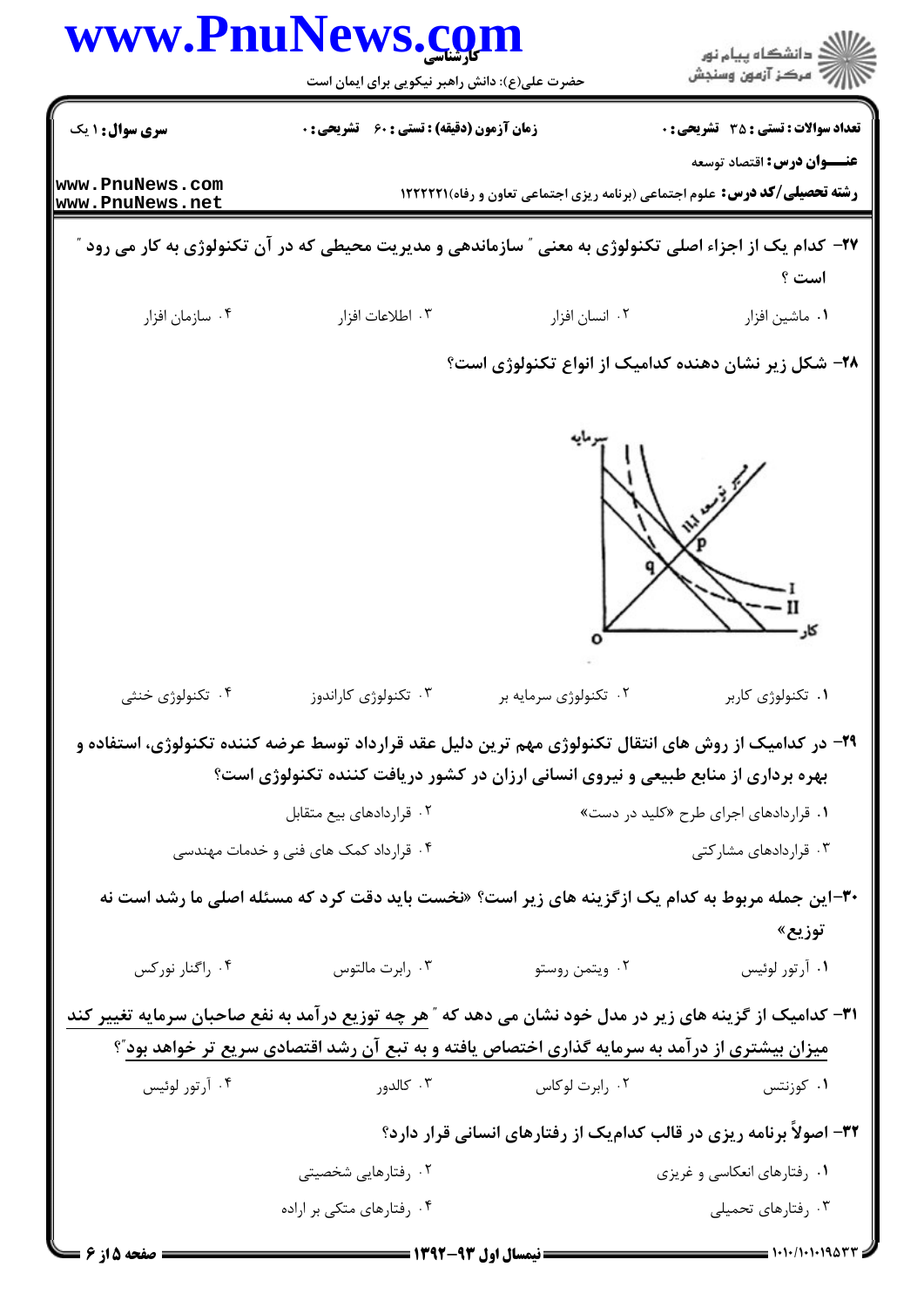|                                    | www.PnuNews.com<br>حضرت علی(ع): دانش راهبر نیکویی برای ایمان است                                                 |                                                                                     | دانشگاه پيام نور<br>مركز آزمون وسنجش       |
|------------------------------------|------------------------------------------------------------------------------------------------------------------|-------------------------------------------------------------------------------------|--------------------------------------------|
| سری سوال: ۱ یک                     | <b>زمان آزمون (دقیقه) : تستی : 60 ٪ تشریحی : 0</b>                                                               |                                                                                     | <b>تعداد سوالات : تستی : 35 تشریحی : 0</b> |
| www.PnuNews.com<br>www.PnuNews.net |                                                                                                                  | <b>رشته تحصیلی/کد درس:</b> علوم اجتماعی (برنامه ریزی اجتماعی تعاون و رفاه)1222211 1 | <b>عنـــوان درس:</b> اقتصاد توسعه          |
|                                    | <b>۲۷</b> – کدام یک از اجزاء اصلی تکنولوژی به معنی ″ سازماندهی و مدیریت محیطی که در آن تکنولوژی به کار می رود ″  |                                                                                     | است ؟                                      |
| ۰۴ سازمان افزار                    | ۰۳ اطلاعات افزار                                                                                                 | ۰۲ انسان افزار                                                                      | ۰۱ ماشین افزار                             |
|                                    |                                                                                                                  | ۲۸– شکل زیر نشان دهنده کدامیک از انواع تکنولوژی است؟                                |                                            |
|                                    |                                                                                                                  |                                                                                     |                                            |
| ۰۴ تکنولوژی خنثی                   | ۰۳ تکنولوژی کاراندوز                                                                                             | ۰۲ تکنولوژی سرمایه بر                                                               | ۰۱ تکنولوژی کاربر                          |
|                                    | ۲۹- در کدامیک از روش های انتقال تکنولوژی مهم ترین دلیل عقد قرارداد توسط عرضه کننده تکنولوژی، استفاده و           |                                                                                     |                                            |
|                                    | بهره برداری از منابع طبیعی و نیروی انسانی ارزان در کشور دریافت کننده تکنولوژی است؟                               |                                                                                     |                                            |
|                                    | ۰۲ قراردادهای بیع متقابل                                                                                         |                                                                                     | ۰۱ قراردادهای اجرای طرح «کلید در دست»      |
|                                    | ۰۴ قرارداد کمک های فنی و خدمات مهندسی                                                                            |                                                                                     | ۰۳ قراردادهای مشارکتی                      |
|                                    | ۳۰-این جمله مربوط به کدام یک ازگزینه های زیر است؟ «نخست باید دقت کرد که مسئله اصلی ما رشد است نه                 |                                                                                     | توزيع»                                     |
| ۰۴ راگنار نورکس                    | ۰۳ رابرت مالتوس                                                                                                  | ۰۲ ویتمن روستو                                                                      | ٠١ آرتور لوئيس                             |
|                                    | ۳۱- کدامیک از گزینه های زیر در مدل خود نشان می دهد که ″ <u>هر چه توزیع در آمد به نفع صاحبان سرمایه تغییر کند</u> |                                                                                     |                                            |
|                                    | <u>میزان بیشتری از درآمد به سرمایه گذاری اختصاص یافته و به تبع آن رشد اقتصادی سریع تر خواهد بود</u> "؟           |                                                                                     |                                            |
| ۰۴ آرتور لوئيس                     |                                                                                                                  | ۰۱ کوزنتس میسی در ابرت لوکاس میسی در ۱۳ سال در ایران کالدور است.<br>در ابرات لوکاس  |                                            |
|                                    |                                                                                                                  | ۳۲- اصولاً برنامه ریزی در قالب کدامیک از رفتارهای انسانی قرار دارد؟                 |                                            |
|                                    | ۰۲ رفتارهایی شخصیتی                                                                                              |                                                                                     | ۰۱ رفتارهای انعکاسی و غریزی                |
|                                    | ۰۴ رفتارهای متکی بر اراده                                                                                        |                                                                                     | ۰۳ رفتارهای تحمیلی                         |
| <b>= صفحه 5 از 6</b>               |                                                                                                                  |                                                                                     |                                            |